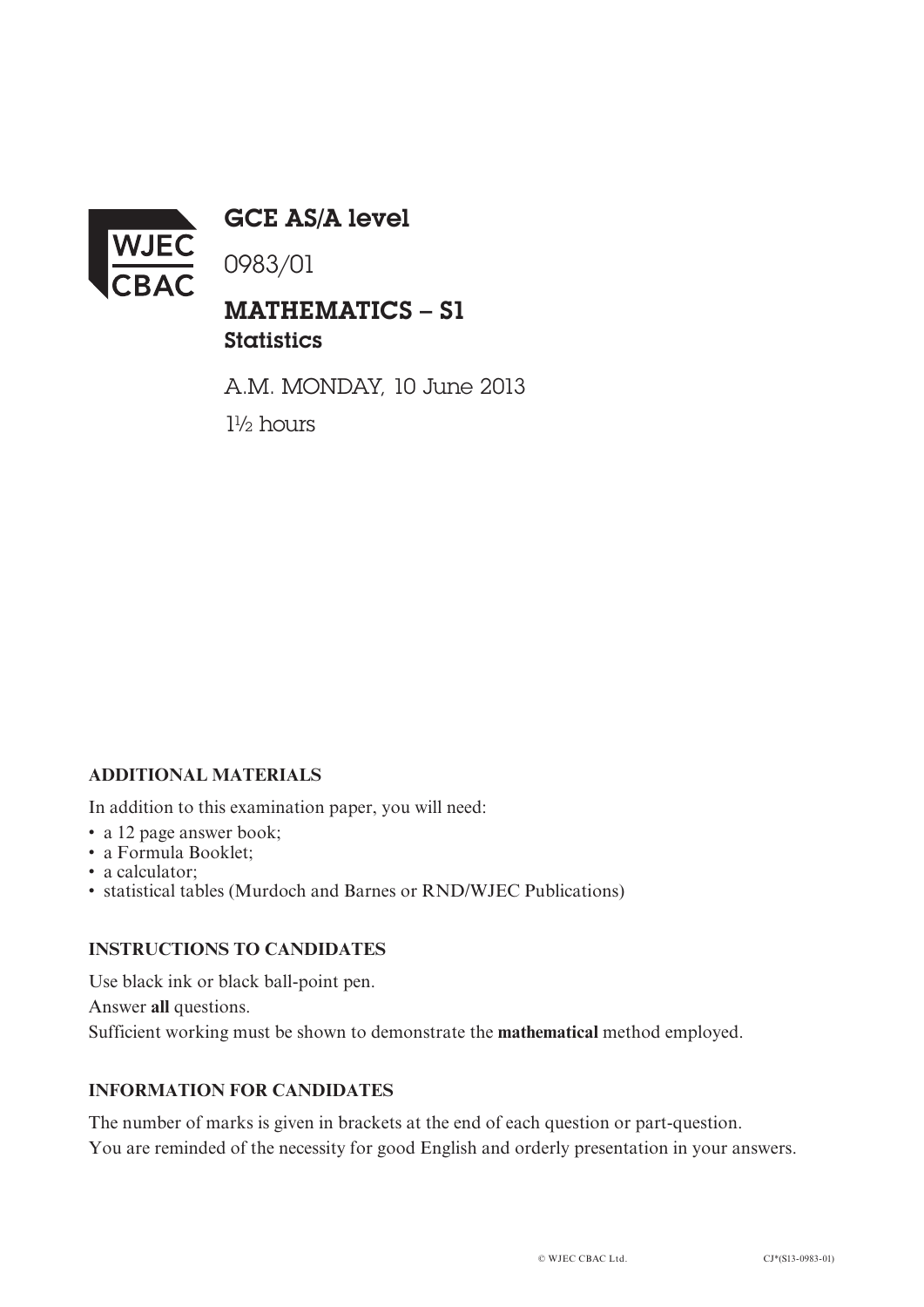

GCE AS/A level

0983/01

## MATHEMATICS – S1 **Statistics**

A.M. MONDAY, 10 June 2013 1½ hours

### **ADDITIONAL MATERIALS**

In addition to this examination paper, you will need:

- a 12 page answer book;
- a Formula Booklet;
- a calculator:
- statistical tables (Murdoch and Barnes or RND/WJEC Publications)

#### **INSTRUCTIONS TO CANDIDATES**

Use black ink or black ball-point pen.

Answer **all** questions.

Sufficient working must be shown to demonstrate the **mathematical** method employed.

#### **INFORMATION FOR CANDIDATES**

The number of marks is given in brackets at the end of each question or part-question. You are reminded of the necessity for good English and orderly presentation in your answers.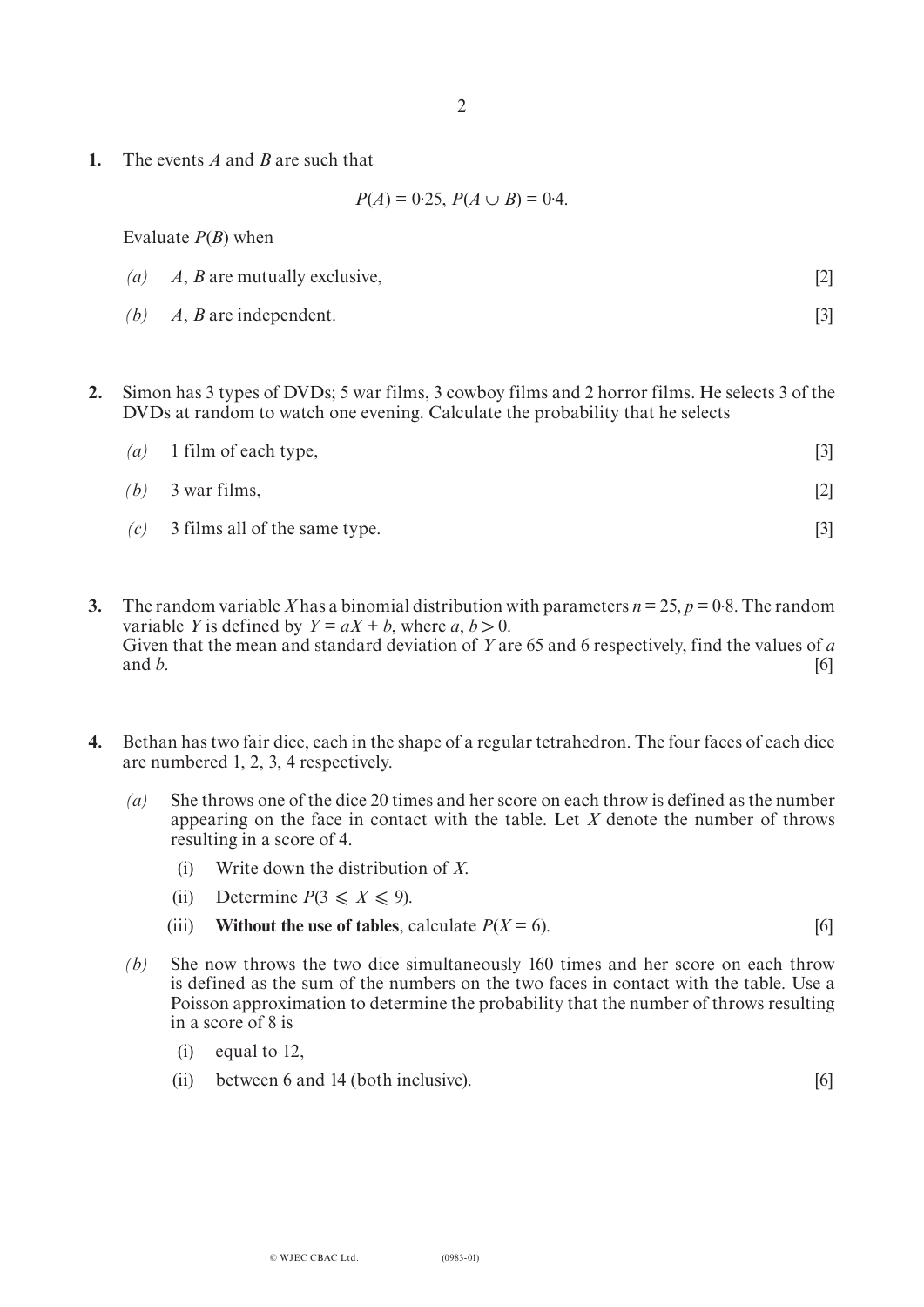**1.** The events *A* and *B* are such that

 $P(A) = 0.25, P(A \cup B) = 0.4.$ 

Evaluate *P*(*B*) when

- *(a) A*, *B* are mutually exclusive, [2]
- *(b) A*, *B* are independent. [3]
- **2.** Simon has 3 types of DVDs; 5 war films, 3 cowboy films and 2 horror films. He selects 3 of the DVDs at random to watch one evening. Calculate the probability that he selects

| (a) 1 film of each type,            |     |
|-------------------------------------|-----|
| $(b)$ 3 war films,                  | [2] |
| $(c)$ 3 films all of the same type. |     |

- **3.** The random variable *X* has a binomial distribution with parameters  $n = 25$ ,  $p = 0.8$ . The random variable *Y* is defined by  $Y = aX + b$ , where *a*,  $b > 0$ . Given that the mean and standard deviation of *Y* are 65 and 6 respectively, find the values of *a* and *h*. and *b*.  $[6]$
- **4.** Bethan has two fair dice, each in the shape of a regular tetrahedron. The four faces of each dice are numbered 1, 2, 3, 4 respectively.
	- *(a)* She throws one of the dice 20 times and her score on each throw is defined as the number appearing on the face in contact with the table. Let *X* denote the number of throws resulting in a score of 4.
		- (i) Write down the distribution of *X*.
		- (ii) Determine  $P(3 \le X \le 9)$ .
		- (iii) **Without the use of tables**, calculate  $P(X = 6)$ . [6]
	- *(b)* She now throws the two dice simultaneously 160 times and her score on each throw is defined as the sum of the numbers on the two faces in contact with the table. Use a Poisson approximation to determine the probability that the number of throws resulting in a score of 8 is
		- (i) equal to 12,
		- (ii) between 6 and 14 (both inclusive). [6]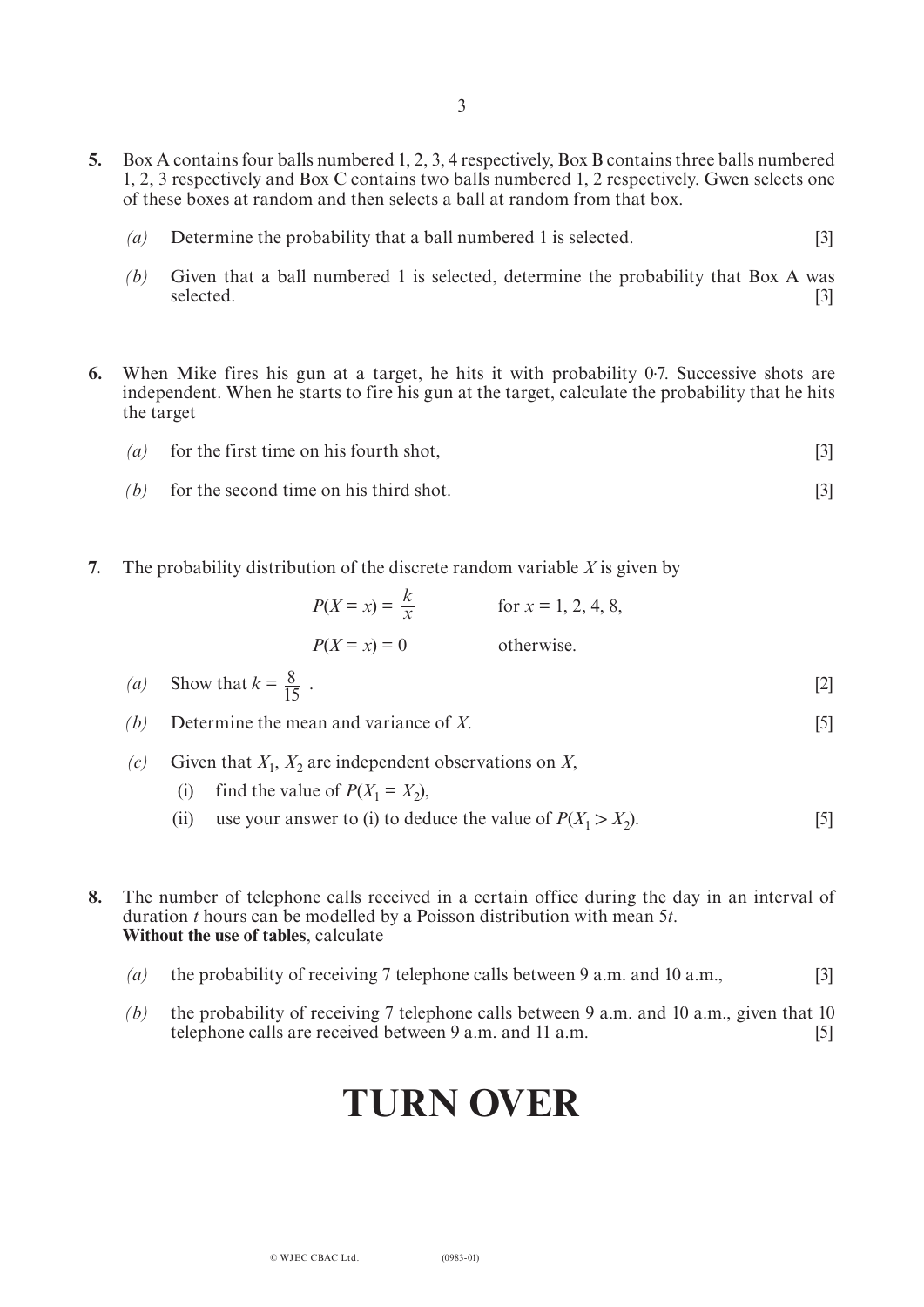- **5.** Box A contains four balls numbered 1, 2, 3, 4 respectively, Box B contains three balls numbered 1, 2, 3 respectively and Box C contains two balls numbered 1, 2 respectively. Gwen selects one of these boxes at random and then selects a ball at random from that box.
	- *(a)* Determine the probability that a ball numbered 1 is selected. [3]
	- *(b)* Given that a ball numbered 1 is selected, determine the probability that Box A was selected. selected. [3]
- **6.** When Mike fires his gun at a target, he hits it with probability 0. 7. Successive shots are independent. When he starts to fire his gun at the target, calculate the probability that he hits the target
	- *(a)* for the first time on his fourth shot, [3]
	- $(b)$  for the second time on his third shot. [3]
- **7.** The probability distribution of the discrete random variable *X* is given by

| $P(X = x) = \frac{k}{x}$ | for $x = 1, 2, 4, 8$ , |
|--------------------------|------------------------|
| $P(X = x) = 0$           | otherwise.             |

*(a)* Show that  $k = \frac{8}{15}$ . [2] 15

*(b)* Determine the mean and variance of *X*. [5]

- *(c)* Given that  $X_1$ ,  $X_2$  are independent observations on *X*,
	- (i) find the value of  $P(X_1 = X_2)$ ,
	- (ii) use your answer to (i) to deduce the value of  $P(X_1 > X_2)$ . [5]
- **8.** The number of telephone calls received in a certain office during the day in an interval of duration *t* hours can be modelled by a Poisson distribution with mean 5*t*. **Without the use of tables**, calculate
	- *(a)* the probability of receiving 7 telephone calls between 9 a.m. and 10 a.m., [3]
	- *(b)* the probability of receiving 7 telephone calls between 9 a.m. and 10 a.m., given that 10 telephone calls are received between 9 a.m. and 11 a.m. [5]

# **TURN OVER**